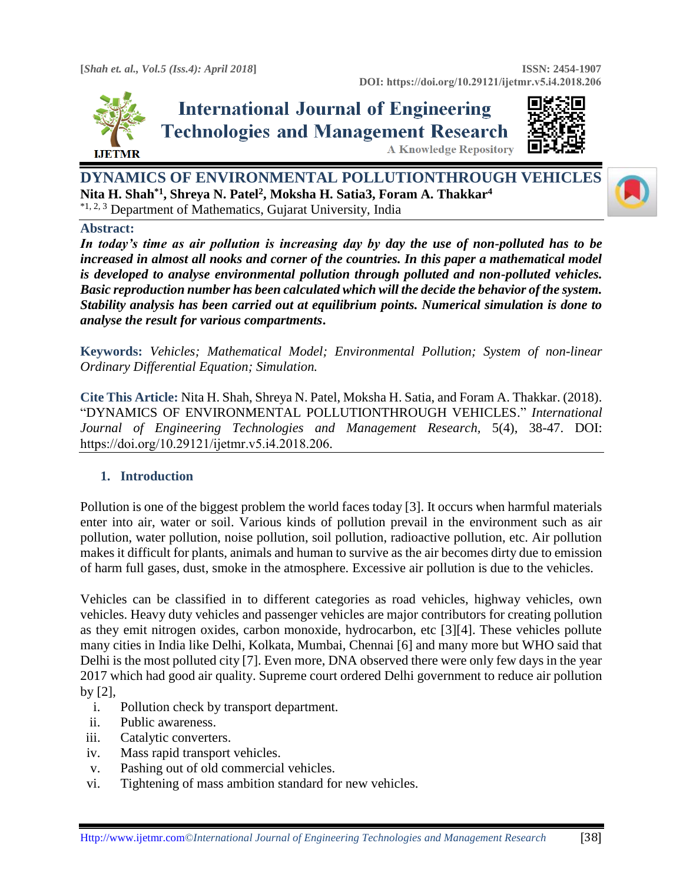

## **International Journal of Engineering Technologies and Management Research A Knowledge Repository**



**DYNAMICS OF ENVIRONMENTAL POLLUTIONTHROUGH VEHICLES Nita H. Shah\*1, Shreya N. Patel<sup>2</sup> , Moksha H. Satia3, Foram A. Thakkar<sup>4</sup>** \*1, 2, 3 Department of Mathematics, Gujarat University, India

## **Abstract:**

*In today's time as air pollution is increasing day by day the use of non-polluted has to be increased in almost all nooks and corner of the countries. In this paper a mathematical model is developed to analyse environmental pollution through polluted and non-polluted vehicles. Basic reproduction number has been calculated which will the decide the behavior of the system. Stability analysis has been carried out at equilibrium points. Numerical simulation is done to analyse the result for various compartments***.**

**Keywords:** *Vehicles; Mathematical Model; Environmental Pollution; System of non-linear Ordinary Differential Equation; Simulation.* 

**Cite This Article:** Nita H. Shah, Shreya N. Patel, Moksha H. Satia, and Foram A. Thakkar. (2018). "DYNAMICS OF ENVIRONMENTAL POLLUTIONTHROUGH VEHICLES." *International Journal of Engineering Technologies and Management Research,* 5(4), 38-47. DOI: https://doi.org/10.29121/ijetmr.v5.i4.2018.206.

## **1. Introduction**

Pollution is one of the biggest problem the world faces today [3]. It occurs when harmful materials enter into air, water or soil. Various kinds of pollution prevail in the environment such as air pollution, water pollution, noise pollution, soil pollution, radioactive pollution, etc. Air pollution makes it difficult for plants, animals and human to survive as the air becomes dirty due to emission of harm full gases, dust, smoke in the atmosphere. Excessive air pollution is due to the vehicles.

Vehicles can be classified in to different categories as road vehicles, highway vehicles, own vehicles. Heavy duty vehicles and passenger vehicles are major contributors for creating pollution as they emit nitrogen oxides, carbon monoxide, hydrocarbon, etc [3][4]. These vehicles pollute many cities in India like Delhi, Kolkata, Mumbai, Chennai [6] and many more but WHO said that Delhi is the most polluted city [7]. Even more, DNA observed there were only few days in the year 2017 which had good air quality. Supreme court ordered Delhi government to reduce air pollution by [2],

- i. Pollution check by transport department.
- ii. Public awareness.
- iii. Catalytic converters.
- iv. Mass rapid transport vehicles.
- v. Pashing out of old commercial vehicles.
- vi. Tightening of mass ambition standard for new vehicles.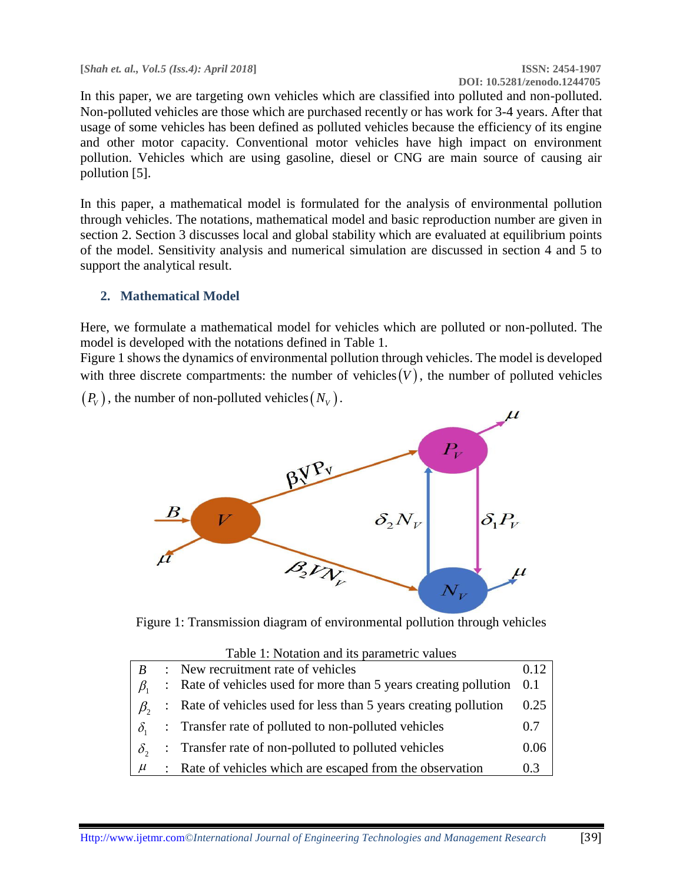**[***Shah et. al., Vol.5 (Iss.4): April 2018***] ISSN: 2454-1907**

# **DOI: 10.5281/zenodo.1244705**

In this paper, we are targeting own vehicles which are classified into polluted and non-polluted. Non-polluted vehicles are those which are purchased recently or has work for 3-4 years. After that usage of some vehicles has been defined as polluted vehicles because the efficiency of its engine and other motor capacity. Conventional motor vehicles have high impact on environment pollution. Vehicles which are using gasoline, diesel or CNG are main source of causing air pollution [5].

In this paper, a mathematical model is formulated for the analysis of environmental pollution through vehicles. The notations, mathematical model and basic reproduction number are given in section 2. Section 3 discusses local and global stability which are evaluated at equilibrium points of the model. Sensitivity analysis and numerical simulation are discussed in section 4 and 5 to support the analytical result.

## **2. Mathematical Model**

Here, we formulate a mathematical model for vehicles which are polluted or non-polluted. The model is developed with the notations defined in Table 1.

Figure 1 shows the dynamics of environmental pollution through vehicles. The model is developed with three discrete compartments: the number of vehicles  $(V)$ , the number of polluted vehicles

 $(P_v)$ , the number of non-polluted vehicles  $(N_v)$ .



Figure 1: Transmission diagram of environmental pollution through vehicles

| Table 1: Notation and its parametric values |                           |                                                                      |      |  |
|---------------------------------------------|---------------------------|----------------------------------------------------------------------|------|--|
|                                             | $\mathbb{R}^{\mathbb{Z}}$ | New recruitment rate of vehicles                                     | 0.12 |  |
|                                             |                           | : Rate of vehicles used for more than 5 years creating pollution 0.1 |      |  |
|                                             |                           | : Rate of vehicles used for less than 5 years creating pollution     | 0.25 |  |
|                                             |                           | : Transfer rate of polluted to non-polluted vehicles                 | 0.7  |  |
| $\delta_{\gamma}$                           |                           | : Transfer rate of non-polluted to polluted vehicles                 | 0.06 |  |
|                                             |                           | Rate of vehicles which are escaped from the observation              | 0.3  |  |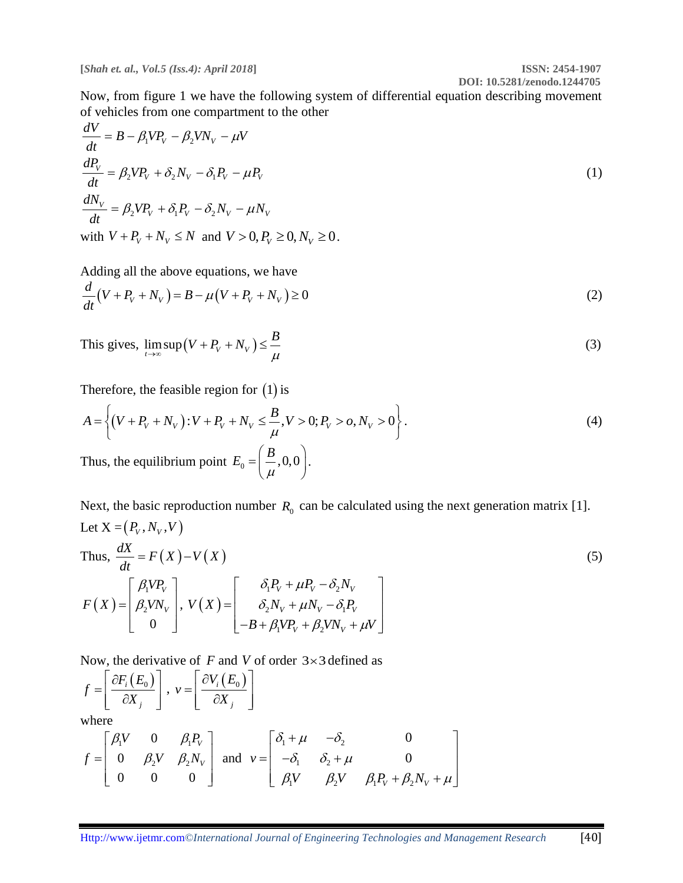**DOI: 10.5281/zenodo.1244705** Now, from figure 1 we have the following system of differential equation describing movement of vehicles from one compartment to the other

$$
\frac{dV}{dt} = B - \beta_1 V P_V - \beta_2 V N_V - \mu V
$$
\n
$$
\frac{dP_V}{dt} = \beta_2 V P_V + \delta_2 N_V - \delta_1 P_V - \mu P_V
$$
\n
$$
\frac{dN_V}{dt} = \beta_2 V P_V + \delta_1 P_V - \delta_2 N_V - \mu N_V
$$
\nwith  $V + P_V + N_V \le N$  and  $V > 0, P_V \ge 0, N_V \ge 0$ .

Adding all the above equations, we have  
\n
$$
\frac{d}{dt}(V + P_V + N_V) = B - \mu(V + P_V + N_V) \ge 0
$$
\n(2)

This gives, 
$$
\lim_{t \to \infty} \sup (V + P_V + N_V) \le \frac{B}{\mu}
$$
 (3)

Therefore, the feasible region for (1) is  
\n
$$
A = \left\{ (V + P_V + N_V) : V + P_V + N_V \le \frac{B}{\mu}, V > 0; P_V > 0, N_V > 0 \right\}.
$$
\n(4)

Thus, the equilibrium point  $E_0 = \left(\frac{B}{B}, 0, 0\right)$  $\mu$  $=\left(\frac{B}{\mu},0,0\right).$ 

Next, the basic reproduction number  $R_0$  can be calculated using the next generation matrix [1]. Let  $X = (P_v, N_v, V)$ 

Thus, 
$$
\frac{dX}{dt} = F(X) - V(X)
$$
\n
$$
F(X) = \begin{bmatrix} \beta_1 V P_V \\ \beta_2 V N_V \\ 0 \end{bmatrix}, V(X) = \begin{bmatrix} \delta_1 P_V + \mu P_V - \delta_2 N_V \\ \delta_2 N_V + \mu N_V - \delta_1 P_V \\ -B + \beta_1 V P_V + \beta_2 V N_V + \mu V \end{bmatrix}
$$
\n(5)

Now, the derivative of  $F$  and  $V$  of order  $3 \times 3$  defined as

$$
f = \left[ \frac{\partial F_i(E_0)}{\partial X_j} \right], \ v = \left[ \frac{\partial V_i(E_0)}{\partial X_j} \right]
$$

where

where  
\n
$$
f = \begin{bmatrix} \beta_1 V & 0 & \beta_1 P_v \\ 0 & \beta_2 V & \beta_2 N_v \\ 0 & 0 & 0 \end{bmatrix}
$$
 and  $v = \begin{bmatrix} \delta_1 + \mu & -\delta_2 & 0 \\ -\delta_1 & \delta_2 + \mu & 0 \\ \beta_1 V & \beta_2 V & \beta_1 P_v + \beta_2 N_v + \mu \end{bmatrix}$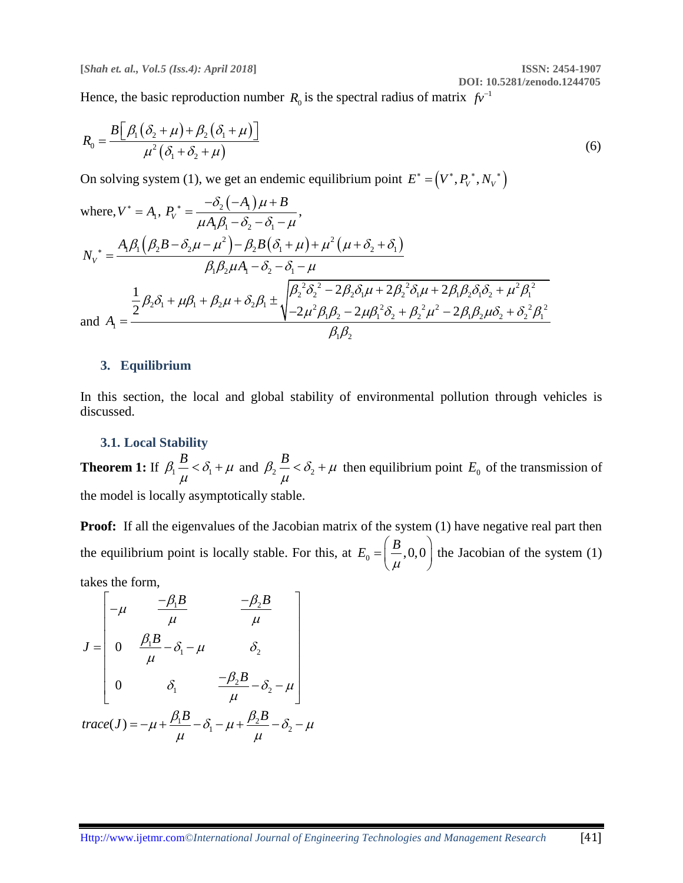Hence, the basic reproduction number  $R_0$  is the spectral radius of matrix  $fv^{-1}$ 

$$
R_0 = \frac{B\left[\beta_1(\delta_2 + \mu) + \beta_2(\delta_1 + \mu)\right]}{\mu^2(\delta_1 + \delta_2 + \mu)}
$$
\n(6)

On solving system (1), we get an endemic equilibrium point  $E^* = (V^*, P_V^*, N_V^*)$ 

where, 
$$
V^* = A_1
$$
,  $P_V^* = \frac{-\delta_2(-A_1)\mu + B}{\mu A_1 \beta_1 - \delta_2 - \delta_1 - \mu}$ ,  
\n
$$
N_V^* = \frac{A_1 \beta_1 (\beta_2 B - \delta_2 \mu - \mu^2) - \beta_2 B (\delta_1 + \mu) + \mu^2 (\mu + \delta_2 + \delta_1)}{\beta_1 \beta_2 \mu A_1 - \delta_2 - \delta_1 - \mu}
$$
\n
$$
\frac{1}{2} \beta_2 \delta_1 + \mu \beta_1 + \beta_2 \mu + \delta_2 \beta_1 \pm \sqrt{\frac{\beta_2^2 \delta_2^2 - 2 \beta_2 \delta_1 \mu + 2 \beta_2^2 \delta_1 \mu + 2 \beta_1 \beta_2 \delta_1 \delta_2 + \mu^2 \beta_1^2}{-\mu^2 \beta_1 \beta_2 - 2 \mu \beta_1^2 \delta_2 + \beta_2^2 \mu^2 - 2 \beta_1 \beta_2 \mu \delta_2 + \delta_2^2 \beta_1^2}
$$
\nand  $A_1 = \frac{\beta_2 \beta_1 + \beta_2 \mu + \beta_2 \beta_1 \mu + \beta_2 \mu + \delta_2 \beta_1 \mu}{\beta_1 \beta_2}$ 

#### **3. Equilibrium**

In this section, the local and global stability of environmental pollution through vehicles is discussed.

## **3.1. Local Stability**

**Theorem 1:** If  $\beta_1 - \beta_2$  $\beta_1 \frac{B}{\rho} < \delta_1 + \mu$  $\mu$  $<\delta_1 + \mu$  and  $\beta_2 - <\delta_2$  $\beta_2 \frac{B}{\epsilon} < \delta_2 + \mu$  $\mu$  $<\delta_2 + \mu$  then equilibrium point  $E_0$  of the transmission of the model is locally asymptotically stable.

**Proof:** If all the eigenvalues of the Jacobian matrix of the system (1) have negative real part then the equilibrium point is locally stable. For this, at  $E_0 = \left(\frac{B}{A}, 0, 0\right)$  $\mu$  $=\left(\frac{B}{\mu}, 0, 0\right)$  the Jacobian of the system (1) takes the form,

 $\frac{1}{1}B$   $-\beta_2$  $\frac{\partial_1 B}{\partial_1} - \delta_1 - \mu$   $\delta_2$  $\sum_{1} \frac{-\beta_2 B}{\mu} - \delta_2$ 0 0  $\frac{B}{\frac{\beta_2 B}{\beta_1}}$  $J = \begin{bmatrix} 0 & \frac{\beta_1 B}{\beta_2} \end{bmatrix}$ *B* the form,<br> $\mu \frac{-\beta_1 B}{\beta_2} \frac{-\beta_2 B}{\beta_1}$  $\frac{\beta_1 B}{\mu}$   $\frac{-\beta_2 B}{\mu}$  $\beta_{\scriptscriptstyle 1}$  $\frac{\partial_1 B}{\partial \mu} - \delta_1 - \mu$   $\delta_2$  $\beta_{\scriptscriptstyle 2}$  $\delta_1$   $\frac{-\beta_2 B}{\mu} - \delta_2 - \mu$ s the form,<br> $\begin{bmatrix} -\mu & \frac{-\beta_1 B}{\rho} & \frac{-\beta_2 B}{\rho} \end{bmatrix}$  $\begin{bmatrix} -\mu & \frac{-\beta_1 B}{\mu} & \frac{-\beta_2 B}{\mu} \end{bmatrix}$  $=\begin{vmatrix} \theta_1 & \theta_2 \\ 0 & \frac{\beta_1 B}{\mu} - \delta_1 - \mu \end{vmatrix}$ −  $-\delta_2 - \mu$  $\left[\begin{array}{ccc} 0 & \delta_1 & \frac{-\beta_2 B}{\mu} - \delta_2 - \mu \end{array}\right]$  $\mu$   $\begin{bmatrix} 0 & \nu_1 & \mu & \nu_2 & \mu \\ \mu & \mu & \nu_1 & \mu \end{bmatrix}$ <br>  $trace(J) = -\mu + \frac{\beta_1 B}{\mu} - \delta_1 - \mu + \frac{\beta_2 B}{\mu} - \delta_2 - \mu$ 

$$
\begin{array}{ccc}\n\downarrow & & \mu & \downarrow \\
\text{trace}(J) = -\mu + \frac{\beta_1 B}{\mu} - \delta_1 - \mu + \frac{\beta_2 B}{\mu} - \delta_2 - \mu\n\end{array}
$$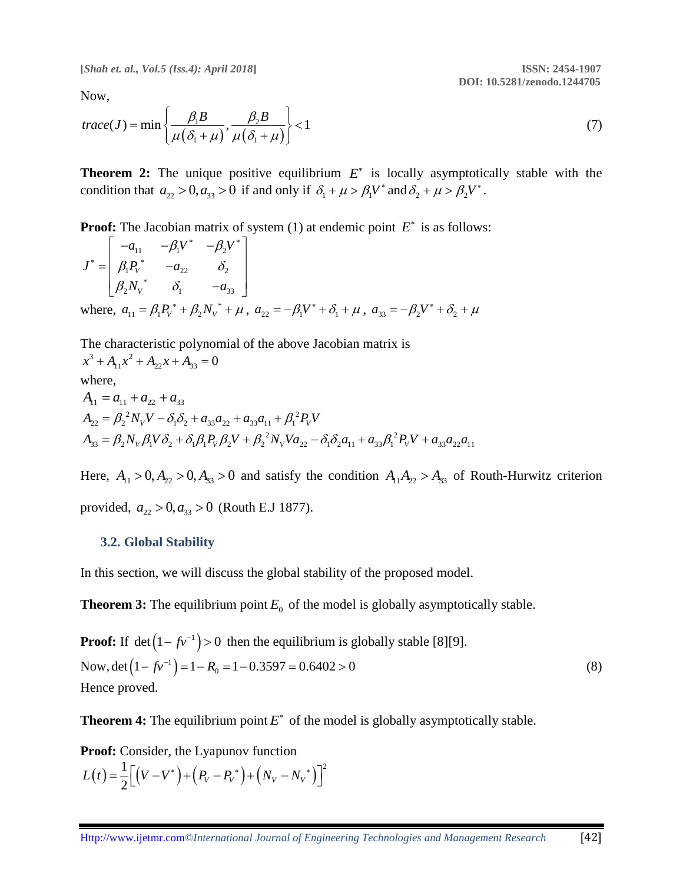**[***Shah et. al., Vol.5 (Iss.4): April 2018***] ISSN: 2454-1907**

 **DOI: 10.5281/zenodo.1244705**

Now,

Now,  
\n
$$
trace(J) = min\left\{\frac{\beta_1 B}{\mu(\delta_1 + \mu)}, \frac{\beta_2 B}{\mu(\delta_1 + \mu)}\right\} < 1
$$
\n(7)

**Theorem 2:** The unique positive equilibrium  $E^*$  is locally asymptotically stable with the condition that  $a_{22} > 0$ ,  $a_{33} > 0$  if and only if  $\delta_1 + \mu > \beta_1 V^*$  and  $\delta_2 + \mu > \beta_2 V^*$ .

**Proof:** The Jacobian matrix of system (1) at endemic point 
$$
E^*
$$
 is as follows:  
\n
$$
J^* = \begin{bmatrix} -a_{11} & -\beta_1 V^* & -\beta_2 V^* \\ \beta_1 P_v^* & -a_{22} & \delta_2 \\ \beta_2 N_v^* & \delta_1 & -a_{33} \end{bmatrix}
$$
\nwhere,  $a_{11} = \beta_1 P_v^* + \beta_2 N_v^* + \mu$ ,  $a_{22} = -\beta_1 V^* + \delta_1 + \mu$ ,  $a_{33} = -\beta_2 V^* + \delta_2 + \mu$ 

The characteristic polynomial of the above Jacobian matrix is  $x^3 + A_{11}x^2 + A_{22}x + A_{33} = 0$ where,  $A_{11} = a_{11} + a_{22} + a_{33}$ <br>  $A_{22} = \beta_2^2 N_V V - \delta_1 \delta_2 + a_{33} a_{22} + a_{33} a_{11} + \beta_1^2 P_V V$  $A_{33} = \beta_2 N_V \beta_1 V \delta_2 + \delta_1 \beta_1 P_V \beta_2 V + \beta_2^2 N_V V a_{22} - \delta_1 \delta_2 a_{11} + a_{33} \beta_1^2 P_V V + a_{33} a_{22} a_{11}$ 

Here,  $A_{11} > 0$ ,  $A_{22} > 0$ ,  $A_{33} > 0$  and satisfy the condition  $A_{11}A_{22} > A_{33}$  of Routh-Hurwitz criterion provided,  $a_{22} > 0, a_{33} > 0$  (Routh E.J 1877).

#### **3.2. Global Stability**

In this section, we will discuss the global stability of the proposed model.

**Theorem 3:** The equilibrium point  $E_0$  of the model is globally asymptotically stable.

**Proof:** If 
$$
\det(1 - f v^{-1}) > 0
$$
 then the equilibrium is globally stable [8][9].  
Now,  $\det(1 - f v^{-1}) = 1 - R_0 = 1 - 0.3597 = 0.6402 > 0$   
Hence proved. (8)

**Theorem 4:** The equilibrium point  $E^*$  of the model is globally asymptotically stable.

**Proof:** Consider, the Lyapunov function  

$$
L(t) = \frac{1}{2} \Big[ (V - V^*) + (P_V - P_V^*) + (N_V - N_V^*) \Big]^2
$$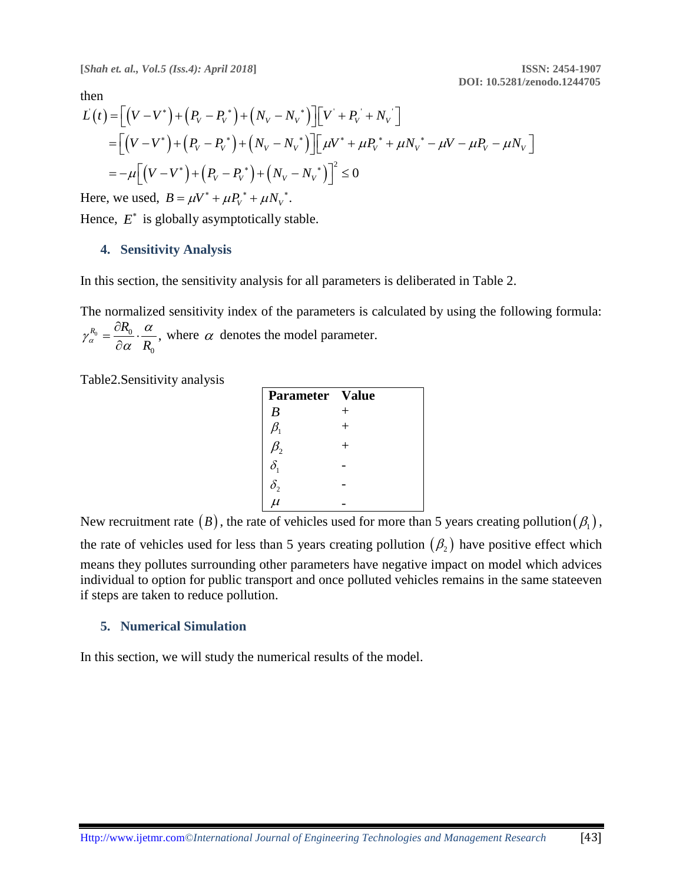**[***Shah et. al., Vol.5 (Iss.4): April 2018***] ISSN: 2454-1907**

 **DOI: 10.5281/zenodo.1244705**

then

( ) ( ) ( ) ( ) ( ) ( ) ( ) ( ) ( ) ( ) ' ' ' ' 2 0 *V V V V V V V V V V V V V V V V V V L t V V P P N N V P N V V P P N N V P N V P N V V P P N N* = − + − + − + + = − + − + − + + − − − = − − + − + −

Here, we used,  $B = \mu V^* + \mu P_V^* + \mu N_V^*$ .

Hence,  $E^*$  is globally asymptotically stable.

#### **4. Sensitivity Analysis**

In this section, the sensitivity analysis for all parameters is deliberated in Table 2.

The normalized sensitivity index of the parameters is calculated by using the following formula:  $0 - \frac{U_{0}}{U_{0}}$ 0  $R_0 R_0 = \frac{\partial R_0}{\partial \alpha} \cdot \frac{\alpha}{R_0},$  $\alpha$   $\partial \alpha$  R  $\gamma_{\alpha}^{R_0} = \frac{\partial R_0}{\partial \alpha} \cdot \frac{\alpha}{R_0}$  $=\frac{\partial R_0}{\partial \mathbf{r}}\cdot \frac{\partial R_0}{\partial \mathbf{r}}$  $\partial$ where  $\alpha$  denotes the model parameter.

Table2.Sensitivity analysis

| Parameter Value        |  |
|------------------------|--|
| $\boldsymbol{B}$       |  |
|                        |  |
| $J_2$                  |  |
| $\delta_1$             |  |
| $\frac{\delta_2}{\mu}$ |  |
|                        |  |

New recruitment rate  $(B)$ , the rate of vehicles used for more than 5 years creating pollution $(\beta_1)$ , the rate of vehicles used for less than 5 years creating pollution  $(\beta_2)$  have positive effect which means they pollutes surrounding other parameters have negative impact on model which advices individual to option for public transport and once polluted vehicles remains in the same stateeven if steps are taken to reduce pollution.

#### **5. Numerical Simulation**

In this section, we will study the numerical results of the model.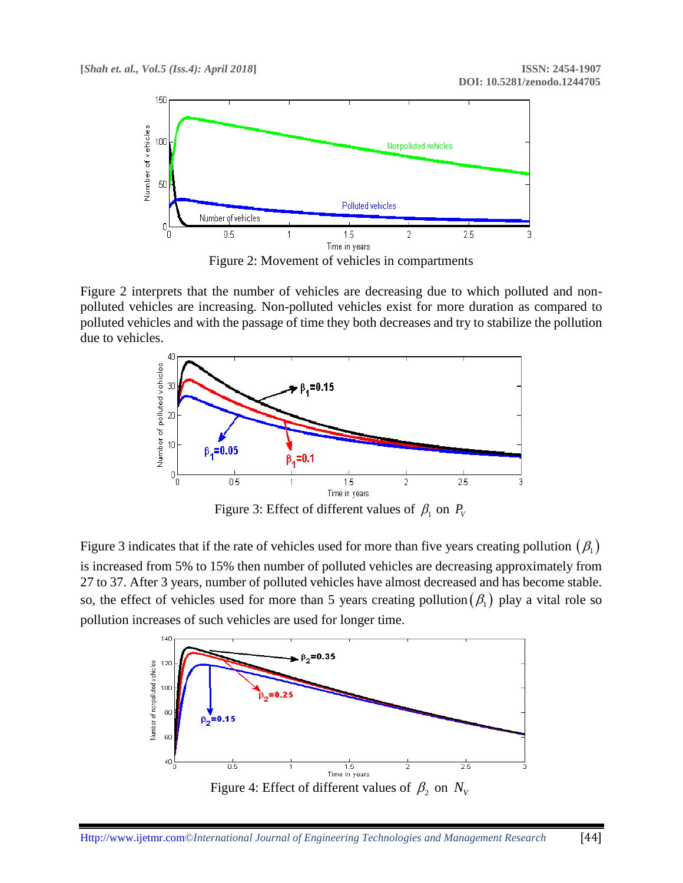

Figure 2: Movement of vehicles in compartments

Figure 2 interprets that the number of vehicles are decreasing due to which polluted and nonpolluted vehicles are increasing. Non-polluted vehicles exist for more duration as compared to polluted vehicles and with the passage of time they both decreases and try to stabilize the pollution due to vehicles.



Figure 3: Effect of different values of  $\beta_1$  on  $P_V$ 

Figure 3 indicates that if the rate of vehicles used for more than five years creating pollution  $(\beta_1)$ is increased from 5% to 15% then number of polluted vehicles are decreasing approximately from 27 to 37. After 3 years, number of polluted vehicles have almost decreased and has become stable. so, the effect of vehicles used for more than 5 years creating pollution  $(\beta_1)$  play a vital role so pollution increases of such vehicles are used for longer time.

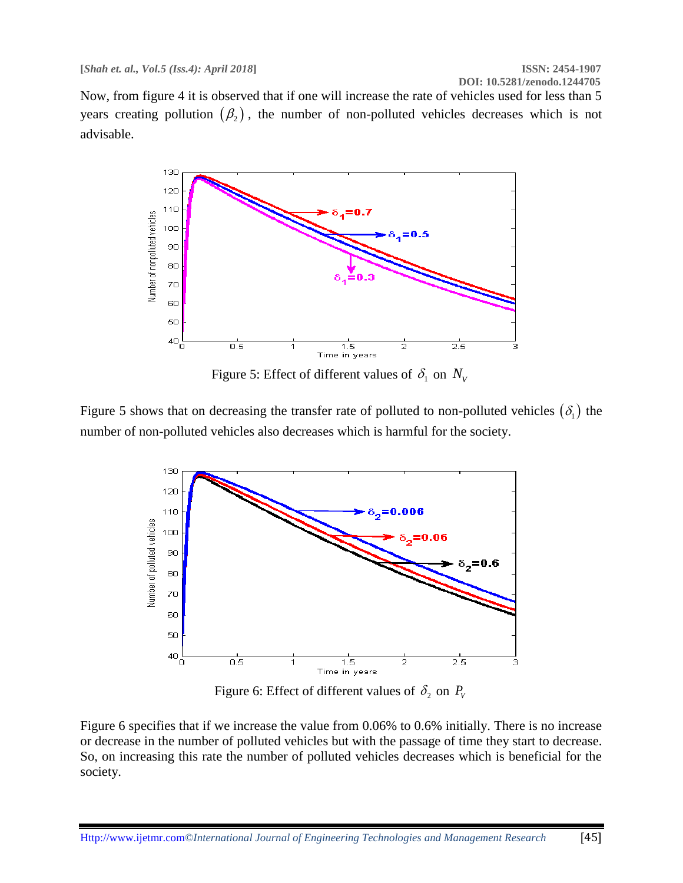Now, from figure 4 it is observed that if one will increase the rate of vehicles used for less than 5 years creating pollution  $(\beta_2)$ , the number of non-polluted vehicles decreases which is not advisable.



Figure 5: Effect of different values of  $\delta_1$  on  $N_V$ 

Figure 5 shows that on decreasing the transfer rate of polluted to non-polluted vehicles  $(\delta_1)$  the number of non-polluted vehicles also decreases which is harmful for the society.



Figure 6: Effect of different values of  $\delta_2$  on  $P_V$ 

Figure 6 specifies that if we increase the value from 0.06% to 0.6% initially. There is no increase or decrease in the number of polluted vehicles but with the passage of time they start to decrease. So, on increasing this rate the number of polluted vehicles decreases which is beneficial for the society.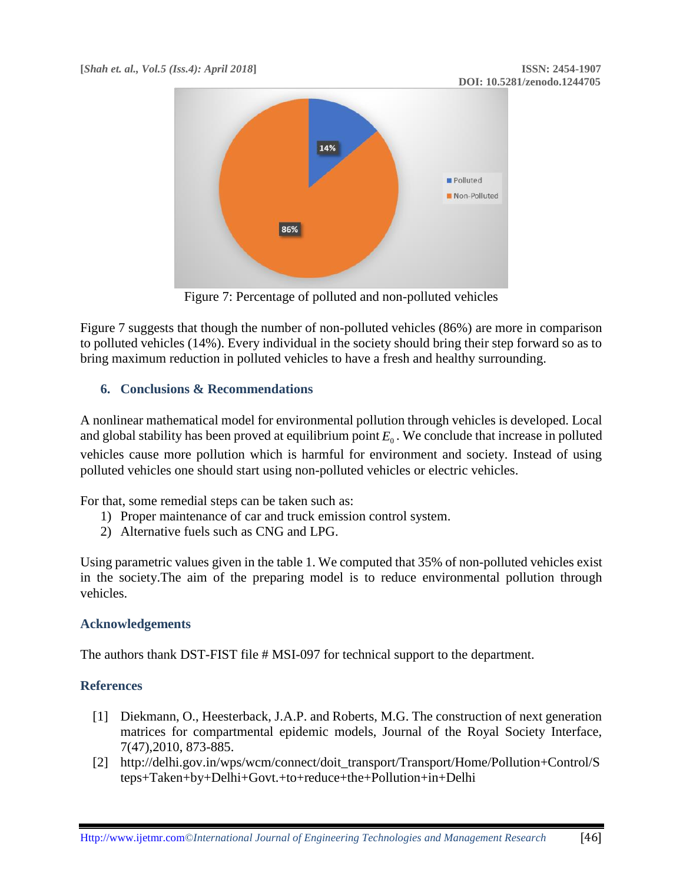

Figure 7: Percentage of polluted and non-polluted vehicles

Figure 7 suggests that though the number of non-polluted vehicles (86%) are more in comparison to polluted vehicles (14%). Every individual in the society should bring their step forward so as to bring maximum reduction in polluted vehicles to have a fresh and healthy surrounding.

## **6. Conclusions & Recommendations**

A nonlinear mathematical model for environmental pollution through vehicles is developed. Local and global stability has been proved at equilibrium point  $E_0$ . We conclude that increase in polluted vehicles cause more pollution which is harmful for environment and society. Instead of using polluted vehicles one should start using non-polluted vehicles or electric vehicles.

For that, some remedial steps can be taken such as:

- 1) Proper maintenance of car and truck emission control system.
- 2) Alternative fuels such as CNG and LPG.

Using parametric values given in the table 1. We computed that 35% of non-polluted vehicles exist in the society.The aim of the preparing model is to reduce environmental pollution through vehicles.

## **Acknowledgements**

The authors thank DST-FIST file # MSI-097 for technical support to the department.

## **References**

- [1] Diekmann, O., Heesterback, J.A.P. and Roberts, M.G. The construction of next generation matrices for compartmental epidemic models, Journal of the Royal Society Interface, 7(47),2010, 873-885.
- [2] http://delhi.gov.in/wps/wcm/connect/doit\_transport/Transport/Home/Pollution+Control/S teps+Taken+by+Delhi+Govt.+to+reduce+the+Pollution+in+Delhi